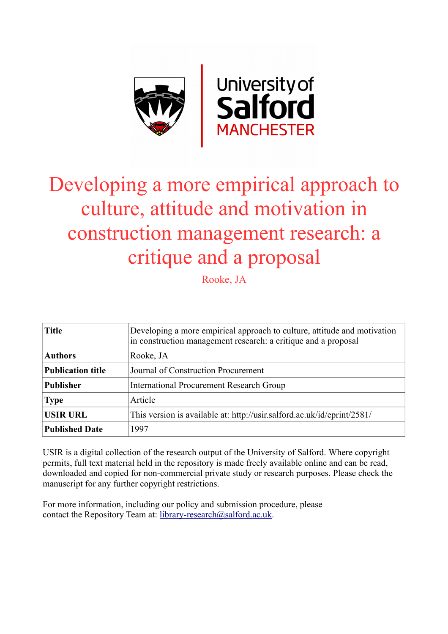

# Developing a more empirical approach to culture, attitude and motivation in construction management research: a critique and a proposal

Rooke, JA

| <b>Title</b>             | Developing a more empirical approach to culture, attitude and motivation<br>in construction management research: a critique and a proposal |
|--------------------------|--------------------------------------------------------------------------------------------------------------------------------------------|
| <b>Authors</b>           | Rooke, JA                                                                                                                                  |
| <b>Publication title</b> | Journal of Construction Procurement                                                                                                        |
| <b>Publisher</b>         | <b>International Procurement Research Group</b>                                                                                            |
| <b>Type</b>              | Article                                                                                                                                    |
| <b>USIR URL</b>          | This version is available at: http://usir.salford.ac.uk/id/eprint/2581/                                                                    |
| <b>Published Date</b>    | 1997                                                                                                                                       |

USIR is a digital collection of the research output of the University of Salford. Where copyright permits, full text material held in the repository is made freely available online and can be read, downloaded and copied for non-commercial private study or research purposes. Please check the manuscript for any further copyright restrictions.

For more information, including our policy and submission procedure, please contact the Repository Team at: [library-research@salford.ac.uk.](mailto:library-research@salford.ac.uk)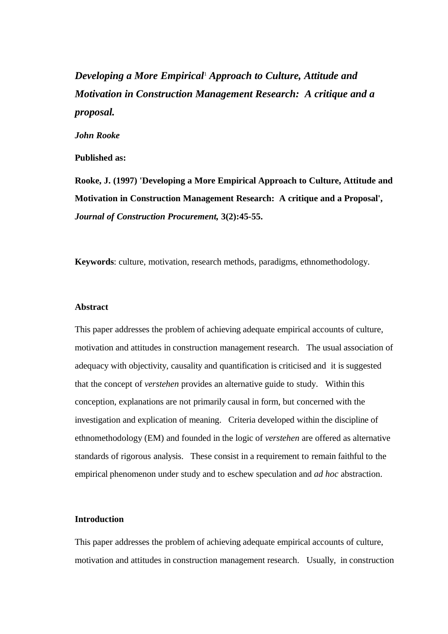*Developing a More Empirical*[1](#page-19-0)  *Approach to Culture, Attitude and Motivation in Construction Management Research: A critique and a proposal.*

#### *John Rooke*

**Published as:** 

**Rooke, J. (1997) 'Developing a More Empirical Approach to Culture, Attitude and Motivation in Construction Management Research: A critique and a Proposal',** *Journal of Construction Procurement,* **3(2):45-55.**

**Keywords**: culture, motivation, research methods, paradigms, ethnomethodology.

#### **Abstract**

This paper addresses the problem of achieving adequate empirical accounts of culture, motivation and attitudes in construction management research. The usual association of adequacy with objectivity, causality and quantification is criticised and it is suggested that the concept of *verstehen* provides an alternative guide to study. Within this conception, explanations are not primarily causal in form, but concerned with the investigation and explication of meaning. Criteria developed within the discipline of ethnomethodology (EM) and founded in the logic of *verstehen* are offered as alternative standards of rigorous analysis. These consist in a requirement to remain faithful to the empirical phenomenon under study and to eschew speculation and *ad hoc* abstraction.

#### **Introduction**

This paper addresses the problem of achieving adequate empirical accounts of culture, motivation and attitudes in construction management research. Usually, in construction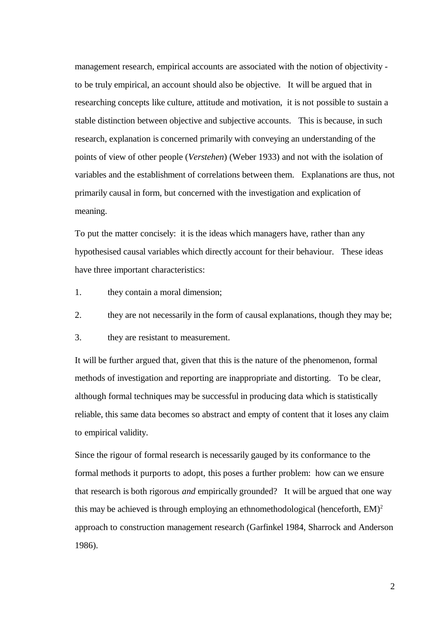management research, empirical accounts are associated with the notion of objectivity to be truly empirical, an account should also be objective. It will be argued that in researching concepts like culture, attitude and motivation, it is not possible to sustain a stable distinction between objective and subjective accounts. This is because, in such research, explanation is concerned primarily with conveying an understanding of the points of view of other people (*Verstehen*) (Weber 1933) and not with the isolation of variables and the establishment of correlations between them. Explanations are thus, not primarily causal in form, but concerned with the investigation and explication of meaning.

To put the matter concisely: it is the ideas which managers have, rather than any hypothesised causal variables which directly account for their behaviour. These ideas have three important characteristics:

- 1. they contain a moral dimension;
- 2. they are not necessarily in the form of causal explanations, though they may be;
- 3. they are resistant to measurement.

It will be further argued that, given that this is the nature of the phenomenon, formal methods of investigation and reporting are inappropriate and distorting. To be clear, although formal techniques may be successful in producing data which is statistically reliable, this same data becomes so abstract and empty of content that it loses any claim to empirical validity.

Since the rigour of formal research is necessarily gauged by its conformance to the formal methods it purports to adopt, this poses a further problem: how can we ensure that research is both rigorous *and* empirically grounded? It will be argued that one way this may be achieved is through employing an ethnomethodological (henceforth,  $EM$ )<sup>[2](#page-19-1)</sup> approach to construction management research (Garfinkel 1984, Sharrock and Anderson 1986).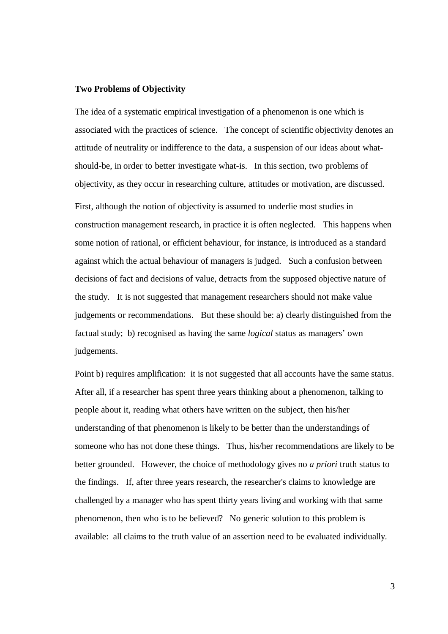#### **Two Problems of Objectivity**

The idea of a systematic empirical investigation of a phenomenon is one which is associated with the practices of science. The concept of scientific objectivity denotes an attitude of neutrality or indifference to the data, a suspension of our ideas about whatshould-be, in order to better investigate what-is. In this section, two problems of objectivity, as they occur in researching culture, attitudes or motivation, are discussed.

First, although the notion of objectivity is assumed to underlie most studies in construction management research, in practice it is often neglected. This happens when some notion of rational, or efficient behaviour, for instance, is introduced as a standard against which the actual behaviour of managers is judged. Such a confusion between decisions of fact and decisions of value, detracts from the supposed objective nature of the study. It is not suggested that management researchers should not make value judgements or recommendations. But these should be: a) clearly distinguished from the factual study; b) recognised as having the same *logical* status as managers' own judgements.

Point b) requires amplification: it is not suggested that all accounts have the same status. After all, if a researcher has spent three years thinking about a phenomenon, talking to people about it, reading what others have written on the subject, then his/her understanding of that phenomenon is likely to be better than the understandings of someone who has not done these things. Thus, his/her recommendations are likely to be better grounded. However, the choice of methodology gives no *a priori* truth status to the findings. If, after three years research, the researcher's claims to knowledge are challenged by a manager who has spent thirty years living and working with that same phenomenon, then who is to be believed? No generic solution to this problem is available: all claims to the truth value of an assertion need to be evaluated individually.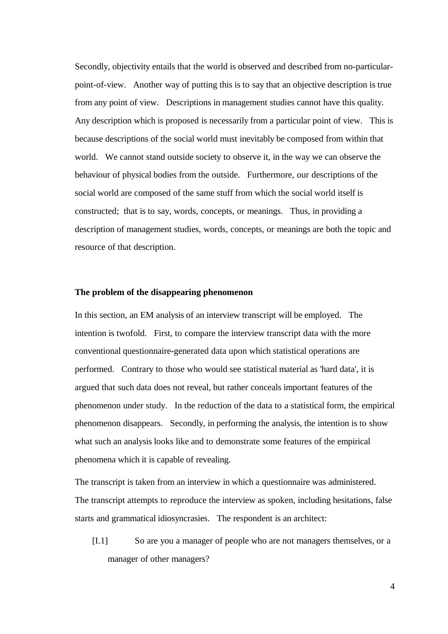Secondly, objectivity entails that the world is observed and described from no-particularpoint-of-view. Another way of putting this is to say that an objective description is true from any point of view. Descriptions in management studies cannot have this quality. Any description which is proposed is necessarily from a particular point of view. This is because descriptions of the social world must inevitably be composed from within that world. We cannot stand outside society to observe it, in the way we can observe the behaviour of physical bodies from the outside. Furthermore, our descriptions of the social world are composed of the same stuff from which the social world itself is constructed; that is to say, words, concepts, or meanings. Thus, in providing a description of management studies, words, concepts, or meanings are both the topic and resource of that description.

# **The problem of the disappearing phenomenon**

In this section, an EM analysis of an interview transcript will be employed. The intention is twofold. First, to compare the interview transcript data with the more conventional questionnaire-generated data upon which statistical operations are performed. Contrary to those who would see statistical material as 'hard data', it is argued that such data does not reveal, but rather conceals important features of the phenomenon under study. In the reduction of the data to a statistical form, the empirical phenomenon disappears. Secondly, in performing the analysis, the intention is to show what such an analysis looks like and to demonstrate some features of the empirical phenomena which it is capable of revealing.

The transcript is taken from an interview in which a questionnaire was administered. The transcript attempts to reproduce the interview as spoken, including hesitations, false starts and grammatical idiosyncrasies. The respondent is an architect:

[I.1] So are you a manager of people who are not managers themselves, or a manager of other managers?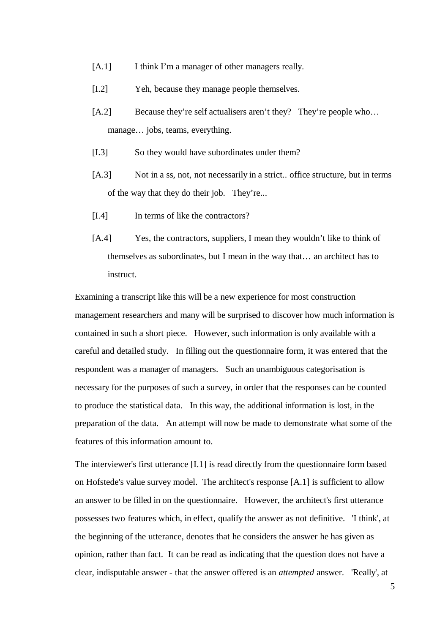- [A.1] I think I'm a manager of other managers really.
- [I.2] Yeh, because they manage people themselves.
- [A.2] Because they're self actualisers aren't they? They're people who... manage… jobs, teams, everything.
- [I.3] So they would have subordinates under them?
- [A.3] Not in a ss, not, not necessarily in a strict.. office structure, but in terms of the way that they do their job. They're...
- [I.4] In terms of like the contractors?
- [A.4] Yes, the contractors, suppliers, I mean they wouldn't like to think of themselves as subordinates, but I mean in the way that… an architect has to instruct.

Examining a transcript like this will be a new experience for most construction management researchers and many will be surprised to discover how much information is contained in such a short piece. However, such information is only available with a careful and detailed study. In filling out the questionnaire form, it was entered that the respondent was a manager of managers. Such an unambiguous categorisation is necessary for the purposes of such a survey, in order that the responses can be counted to produce the statistical data. In this way, the additional information is lost, in the preparation of the data. An attempt will now be made to demonstrate what some of the features of this information amount to.

The interviewer's first utterance [I.1] is read directly from the questionnaire form based on Hofstede's value survey model. The architect's response [A.1] is sufficient to allow an answer to be filled in on the questionnaire. However, the architect's first utterance possesses two features which, in effect, qualify the answer as not definitive. 'I think', at the beginning of the utterance, denotes that he considers the answer he has given as opinion, rather than fact. It can be read as indicating that the question does not have a clear, indisputable answer - that the answer offered is an *attempted* answer. 'Really', at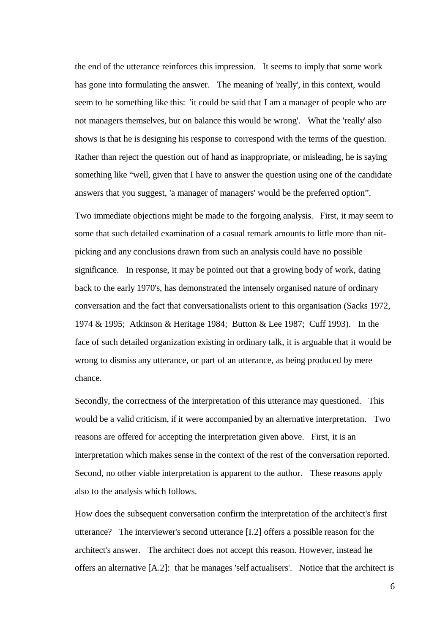the end of the utterance reinforces this impression. It seems to imply that some work has gone into formulating the answer. The meaning of 'really', in this context, would seem to be something like this: 'it could be said that I am a manager of people who are not managers themselves, but on balance this would be wrong'. What the 'really' also shows is that he is designing his response to correspond with the terms of the question. Rather than reject the question out of hand as inappropriate, or misleading, he is saying something like "well, given that I have to answer the question using one of the candidate answers that you suggest, 'a manager of managers' would be the preferred option".

Two immediate objections might be made to the forgoing analysis. First, it may seem to some that such detailed examination of a casual remark amounts to little more than nitpicking and any conclusions drawn from such an analysis could have no possible significance. In response, it may be pointed out that a growing body of work, dating back to the early 1970's, has demonstrated the intensely organised nature of ordinary conversation and the fact that conversationalists orient to this organisation (Sacks 1972, 1974 & 1995; Atkinson & Heritage 1984; Button & Lee 1987; Cuff 1993). In the face of such detailed organization existing in ordinary talk, it is arguable that it would be wrong to dismiss any utterance, or part of an utterance, as being produced by mere chance.

Secondly, the correctness of the interpretation of this utterance may questioned. This would be a valid criticism, if it were accompanied by an alternative interpretation. Two reasons are offered for accepting the interpretation given above. First, it is an interpretation which makes sense in the context of the rest of the conversation reported. Second, no other viable interpretation is apparent to the author. These reasons apply also to the analysis which follows.

How does the subsequent conversation confirm the interpretation of the architect's first utterance? The interviewer's second utterance [I.2] offers a possible reason for the architect's answer. The architect does not accept this reason. However, instead he offers an alternative [A.2]: that he manages 'self actualisers'. Notice that the architect is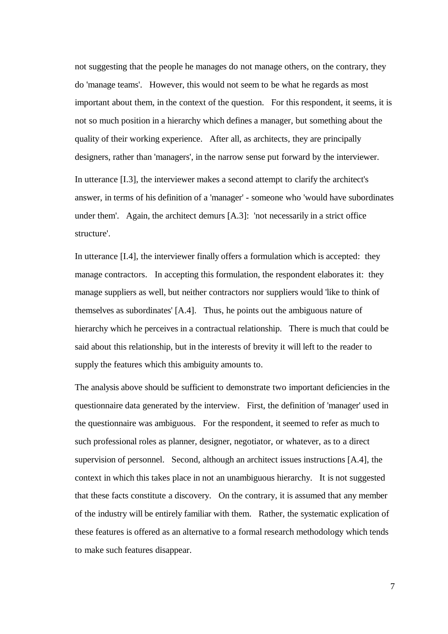not suggesting that the people he manages do not manage others, on the contrary, they do 'manage teams'. However, this would not seem to be what he regards as most important about them, in the context of the question. For this respondent, it seems, it is not so much position in a hierarchy which defines a manager, but something about the quality of their working experience. After all, as architects, they are principally designers, rather than 'managers', in the narrow sense put forward by the interviewer. In utterance [I.3], the interviewer makes a second attempt to clarify the architect's answer, in terms of his definition of a 'manager' - someone who 'would have subordinates under them'. Again, the architect demurs  $[A.3]$ : 'not necessarily in a strict office structure'.

In utterance [I.4], the interviewer finally offers a formulation which is accepted: they manage contractors. In accepting this formulation, the respondent elaborates it: they manage suppliers as well, but neither contractors nor suppliers would 'like to think of themselves as subordinates' [A.4]. Thus, he points out the ambiguous nature of hierarchy which he perceives in a contractual relationship. There is much that could be said about this relationship, but in the interests of brevity it will left to the reader to supply the features which this ambiguity amounts to.

The analysis above should be sufficient to demonstrate two important deficiencies in the questionnaire data generated by the interview. First, the definition of 'manager' used in the questionnaire was ambiguous. For the respondent, it seemed to refer as much to such professional roles as planner, designer, negotiator, or whatever, as to a direct supervision of personnel. Second, although an architect issues instructions [A.4], the context in which this takes place in not an unambiguous hierarchy. It is not suggested that these facts constitute a discovery. On the contrary, it is assumed that any member of the industry will be entirely familiar with them. Rather, the systematic explication of these features is offered as an alternative to a formal research methodology which tends to make such features disappear.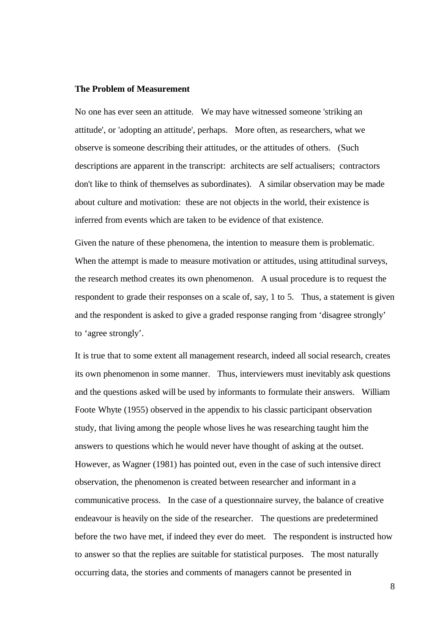#### **The Problem of Measurement**

No one has ever seen an attitude. We may have witnessed someone 'striking an attitude', or 'adopting an attitude', perhaps. More often, as researchers, what we observe is someone describing their attitudes, or the attitudes of others. (Such descriptions are apparent in the transcript: architects are self actualisers; contractors don't like to think of themselves as subordinates). A similar observation may be made about culture and motivation: these are not objects in the world, their existence is inferred from events which are taken to be evidence of that existence.

Given the nature of these phenomena, the intention to measure them is problematic. When the attempt is made to measure motivation or attitudes, using attitudinal surveys, the research method creates its own phenomenon. A usual procedure is to request the respondent to grade their responses on a scale of, say, 1 to 5. Thus, a statement is given and the respondent is asked to give a graded response ranging from 'disagree strongly' to 'agree strongly'.

It is true that to some extent all management research, indeed all social research, creates its own phenomenon in some manner. Thus, interviewers must inevitably ask questions and the questions asked will be used by informants to formulate their answers. William Foote Whyte (1955) observed in the appendix to his classic participant observation study, that living among the people whose lives he was researching taught him the answers to questions which he would never have thought of asking at the outset. However, as Wagner (1981) has pointed out, even in the case of such intensive direct observation, the phenomenon is created between researcher and informant in a communicative process. In the case of a questionnaire survey, the balance of creative endeavour is heavily on the side of the researcher. The questions are predetermined before the two have met, if indeed they ever do meet. The respondent is instructed how to answer so that the replies are suitable for statistical purposes. The most naturally occurring data, the stories and comments of managers cannot be presented in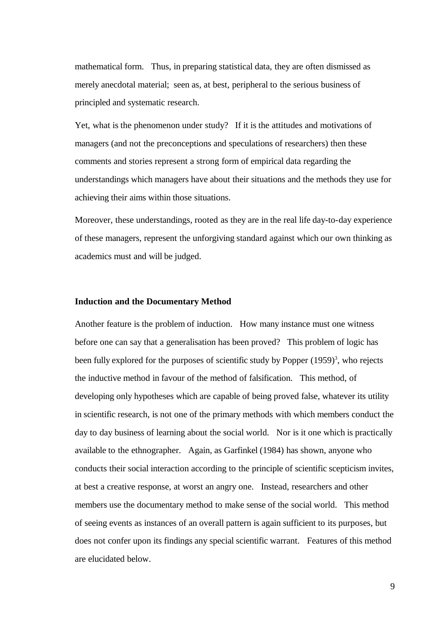mathematical form. Thus, in preparing statistical data, they are often dismissed as merely anecdotal material; seen as, at best, peripheral to the serious business of principled and systematic research.

Yet, what is the phenomenon under study? If it is the attitudes and motivations of managers (and not the preconceptions and speculations of researchers) then these comments and stories represent a strong form of empirical data regarding the understandings which managers have about their situations and the methods they use for achieving their aims within those situations.

Moreover, these understandings, rooted as they are in the real life day-to-day experience of these managers, represent the unforgiving standard against which our own thinking as academics must and will be judged.

#### **Induction and the Documentary Method**

Another feature is the problem of induction. How many instance must one witness before one can say that a generalisation has been proved? This problem of logic has been fully explored for the purposes of scientific study by Popper  $(1959)^3$  $(1959)^3$ , who rejects the inductive method in favour of the method of falsification. This method, of developing only hypotheses which are capable of being proved false, whatever its utility in scientific research, is not one of the primary methods with which members conduct the day to day business of learning about the social world. Nor is it one which is practically available to the ethnographer. Again, as Garfinkel (1984) has shown, anyone who conducts their social interaction according to the principle of scientific scepticism invites, at best a creative response, at worst an angry one. Instead, researchers and other members use the documentary method to make sense of the social world. This method of seeing events as instances of an overall pattern is again sufficient to its purposes, but does not confer upon its findings any special scientific warrant. Features of this method are elucidated below.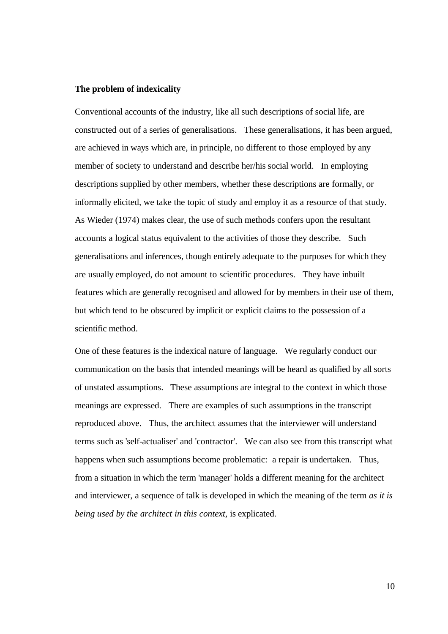#### **The problem of indexicality**

Conventional accounts of the industry, like all such descriptions of social life, are constructed out of a series of generalisations. These generalisations, it has been argued, are achieved in ways which are, in principle, no different to those employed by any member of society to understand and describe her/his social world. In employing descriptions supplied by other members, whether these descriptions are formally, or informally elicited, we take the topic of study and employ it as a resource of that study. As Wieder (1974) makes clear, the use of such methods confers upon the resultant accounts a logical status equivalent to the activities of those they describe. Such generalisations and inferences, though entirely adequate to the purposes for which they are usually employed, do not amount to scientific procedures. They have inbuilt features which are generally recognised and allowed for by members in their use of them, but which tend to be obscured by implicit or explicit claims to the possession of a scientific method.

One of these features is the indexical nature of language. We regularly conduct our communication on the basis that intended meanings will be heard as qualified by all sorts of unstated assumptions. These assumptions are integral to the context in which those meanings are expressed. There are examples of such assumptions in the transcript reproduced above. Thus, the architect assumes that the interviewer will understand terms such as 'self-actualiser' and 'contractor'. We can also see from this transcript what happens when such assumptions become problematic: a repair is undertaken. Thus, from a situation in which the term 'manager' holds a different meaning for the architect and interviewer, a sequence of talk is developed in which the meaning of the term *as it is being used by the architect in this context,* is explicated.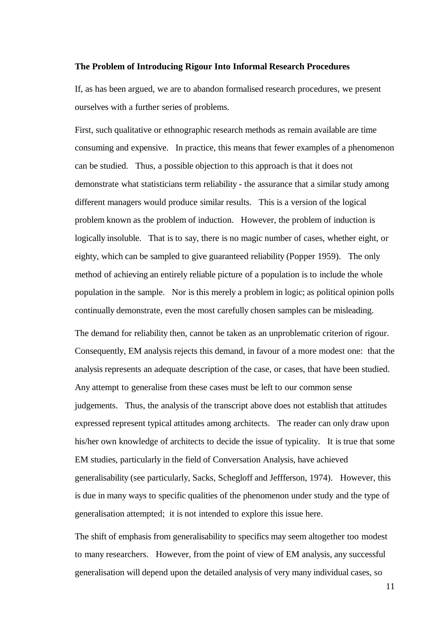#### **The Problem of Introducing Rigour Into Informal Research Procedures**

If, as has been argued, we are to abandon formalised research procedures, we present ourselves with a further series of problems.

First, such qualitative or ethnographic research methods as remain available are time consuming and expensive. In practice, this means that fewer examples of a phenomenon can be studied. Thus, a possible objection to this approach is that it does not demonstrate what statisticians term reliability - the assurance that a similar study among different managers would produce similar results. This is a version of the logical problem known as the problem of induction. However, the problem of induction is logically insoluble. That is to say, there is no magic number of cases, whether eight, or eighty, which can be sampled to give guaranteed reliability (Popper 1959). The only method of achieving an entirely reliable picture of a population is to include the whole population in the sample. Nor is this merely a problem in logic; as political opinion polls continually demonstrate, even the most carefully chosen samples can be misleading.

The demand for reliability then, cannot be taken as an unproblematic criterion of rigour. Consequently, EM analysis rejects this demand, in favour of a more modest one: that the analysis represents an adequate description of the case, or cases, that have been studied. Any attempt to generalise from these cases must be left to our common sense judgements. Thus, the analysis of the transcript above does not establish that attitudes expressed represent typical attitudes among architects. The reader can only draw upon his/her own knowledge of architects to decide the issue of typicality. It is true that some EM studies, particularly in the field of Conversation Analysis, have achieved generalisability (see particularly, Sacks, Schegloff and Jeffferson, 1974). However, this is due in many ways to specific qualities of the phenomenon under study and the type of generalisation attempted; it is not intended to explore this issue here.

The shift of emphasis from generalisability to specifics may seem altogether too modest to many researchers. However, from the point of view of EM analysis, any successful generalisation will depend upon the detailed analysis of very many individual cases, so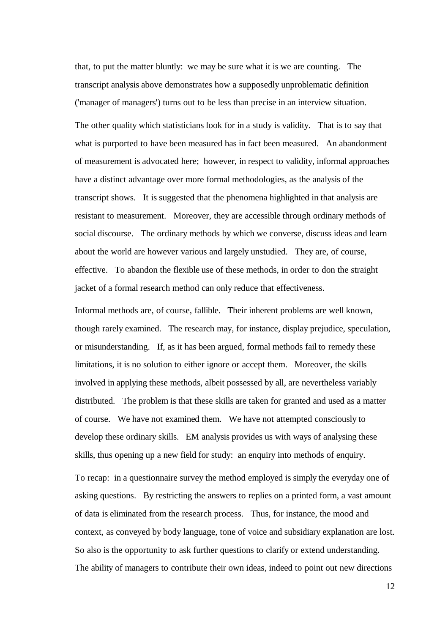that, to put the matter bluntly: we may be sure what it is we are counting. The transcript analysis above demonstrates how a supposedly unproblematic definition ('manager of managers') turns out to be less than precise in an interview situation.

The other quality which statisticians look for in a study is validity. That is to say that what is purported to have been measured has in fact been measured. An abandonment of measurement is advocated here; however, in respect to validity, informal approaches have a distinct advantage over more formal methodologies, as the analysis of the transcript shows. It is suggested that the phenomena highlighted in that analysis are resistant to measurement. Moreover, they are accessible through ordinary methods of social discourse. The ordinary methods by which we converse, discuss ideas and learn about the world are however various and largely unstudied. They are, of course, effective. To abandon the flexible use of these methods, in order to don the straight jacket of a formal research method can only reduce that effectiveness.

Informal methods are, of course, fallible. Their inherent problems are well known, though rarely examined. The research may, for instance, display prejudice, speculation, or misunderstanding. If, as it has been argued, formal methods fail to remedy these limitations, it is no solution to either ignore or accept them. Moreover, the skills involved in applying these methods, albeit possessed by all, are nevertheless variably distributed. The problem is that these skills are taken for granted and used as a matter of course. We have not examined them. We have not attempted consciously to develop these ordinary skills. EM analysis provides us with ways of analysing these skills, thus opening up a new field for study: an enquiry into methods of enquiry.

To recap: in a questionnaire survey the method employed is simply the everyday one of asking questions. By restricting the answers to replies on a printed form, a vast amount of data is eliminated from the research process. Thus, for instance, the mood and context, as conveyed by body language, tone of voice and subsidiary explanation are lost. So also is the opportunity to ask further questions to clarify or extend understanding. The ability of managers to contribute their own ideas, indeed to point out new directions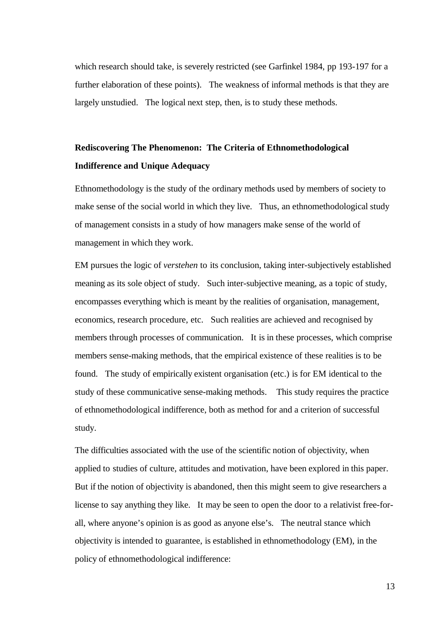which research should take, is severely restricted (see Garfinkel 1984, pp 193-197 for a further elaboration of these points). The weakness of informal methods is that they are largely unstudied. The logical next step, then, is to study these methods.

# **Rediscovering The Phenomenon: The Criteria of Ethnomethodological Indifference and Unique Adequacy**

Ethnomethodology is the study of the ordinary methods used by members of society to make sense of the social world in which they live. Thus, an ethnomethodological study of management consists in a study of how managers make sense of the world of management in which they work.

EM pursues the logic of *verstehen* to its conclusion, taking inter-subjectively established meaning as its sole object of study. Such inter-subjective meaning, as a topic of study, encompasses everything which is meant by the realities of organisation, management, economics, research procedure, etc. Such realities are achieved and recognised by members through processes of communication. It is in these processes, which comprise members sense-making methods, that the empirical existence of these realities is to be found. The study of empirically existent organisation (etc.) is for EM identical to the study of these communicative sense-making methods. This study requires the practice of ethnomethodological indifference, both as method for and a criterion of successful study.

The difficulties associated with the use of the scientific notion of objectivity, when applied to studies of culture, attitudes and motivation, have been explored in this paper. But if the notion of objectivity is abandoned, then this might seem to give researchers a license to say anything they like. It may be seen to open the door to a relativist free-forall, where anyone's opinion is as good as anyone else's. The neutral stance which objectivity is intended to guarantee, is established in ethnomethodology (EM), in the policy of ethnomethodological indifference: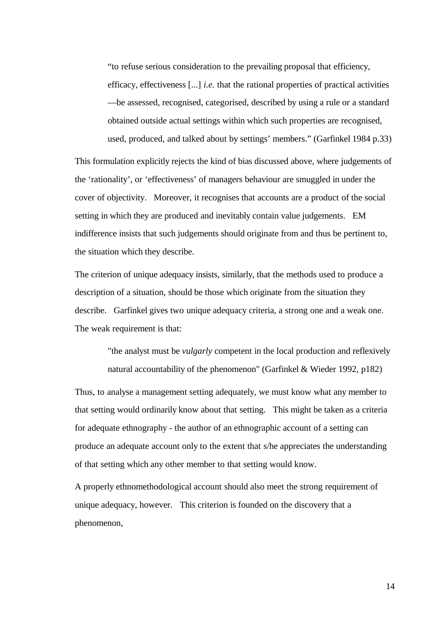"to refuse serious consideration to the prevailing proposal that efficiency, efficacy, effectiveness [...] *i.e.* that the rational properties of practical activities —be assessed, recognised, categorised, described by using a rule or a standard obtained outside actual settings within which such properties are recognised, used, produced, and talked about by settings' members." (Garfinkel 1984 p.33)

This formulation explicitly rejects the kind of bias discussed above, where judgements of the 'rationality', or 'effectiveness' of managers behaviour are smuggled in under the cover of objectivity. Moreover, it recognises that accounts are a product of the social setting in which they are produced and inevitably contain value judgements. EM indifference insists that such judgements should originate from and thus be pertinent to, the situation which they describe.

The criterion of unique adequacy insists, similarly, that the methods used to produce a description of a situation, should be those which originate from the situation they describe. Garfinkel gives two unique adequacy criteria, a strong one and a weak one. The weak requirement is that:

> "the analyst must be *vulgarly* competent in the local production and reflexively natural accountability of the phenomenon" (Garfinkel & Wieder 1992, p182)

Thus, to analyse a management setting adequately, we must know what any member to that setting would ordinarily know about that setting. This might be taken as a criteria for adequate ethnography - the author of an ethnographic account of a setting can produce an adequate account only to the extent that s/he appreciates the understanding of that setting which any other member to that setting would know.

A properly ethnomethodological account should also meet the strong requirement of unique adequacy, however. This criterion is founded on the discovery that a phenomenon,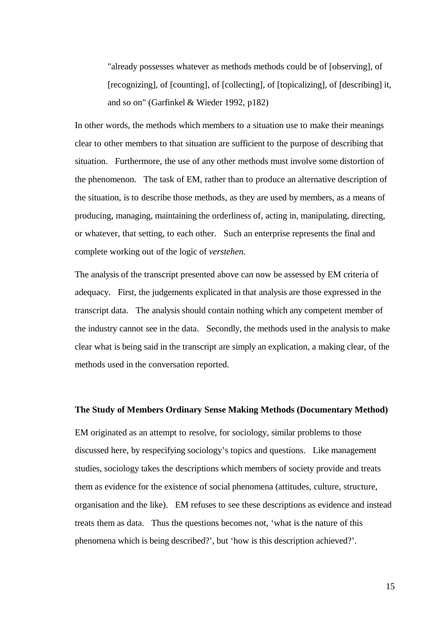"already possesses whatever as methods methods could be of [observing], of [recognizing], of [counting], of [collecting], of [topicalizing], of [describing] it, and so on" (Garfinkel & Wieder 1992, p182)

In other words, the methods which members to a situation use to make their meanings clear to other members to that situation are sufficient to the purpose of describing that situation. Furthermore, the use of any other methods must involve some distortion of the phenomenon. The task of EM, rather than to produce an alternative description of the situation, is to describe those methods, as they are used by members, as a means of producing, managing, maintaining the orderliness of, acting in, manipulating, directing, or whatever, that setting, to each other. Such an enterprise represents the final and complete working out of the logic of *verstehen.*

The analysis of the transcript presented above can now be assessed by EM criteria of adequacy. First, the judgements explicated in that analysis are those expressed in the transcript data. The analysis should contain nothing which any competent member of the industry cannot see in the data. Secondly, the methods used in the analysis to make clear what is being said in the transcript are simply an explication, a making clear, of the methods used in the conversation reported.

### **The Study of Members Ordinary Sense Making Methods (Documentary Method)**

EM originated as an attempt to resolve, for sociology, similar problems to those discussed here, by respecifying sociology's topics and questions. Like management studies, sociology takes the descriptions which members of society provide and treats them as evidence for the existence of social phenomena (attitudes, culture, structure, organisation and the like). EM refuses to see these descriptions as evidence and instead treats them as data. Thus the questions becomes not, 'what is the nature of this phenomena which is being described?', but 'how is this description achieved?'.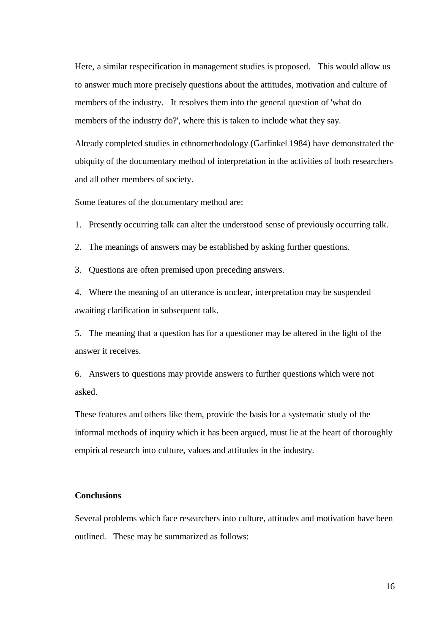Here, a similar respecification in management studies is proposed. This would allow us to answer much more precisely questions about the attitudes, motivation and culture of members of the industry. It resolves them into the general question of 'what do members of the industry do?', where this is taken to include what they say.

Already completed studies in ethnomethodology (Garfinkel 1984) have demonstrated the ubiquity of the documentary method of interpretation in the activities of both researchers and all other members of society.

Some features of the documentary method are:

1. Presently occurring talk can alter the understood sense of previously occurring talk.

2. The meanings of answers may be established by asking further questions.

3. Questions are often premised upon preceding answers.

4. Where the meaning of an utterance is unclear, interpretation may be suspended awaiting clarification in subsequent talk.

5. The meaning that a question has for a questioner may be altered in the light of the answer it receives.

6. Answers to questions may provide answers to further questions which were not asked.

These features and others like them, provide the basis for a systematic study of the informal methods of inquiry which it has been argued, must lie at the heart of thoroughly empirical research into culture, values and attitudes in the industry.

## **Conclusions**

Several problems which face researchers into culture, attitudes and motivation have been outlined. These may be summarized as follows: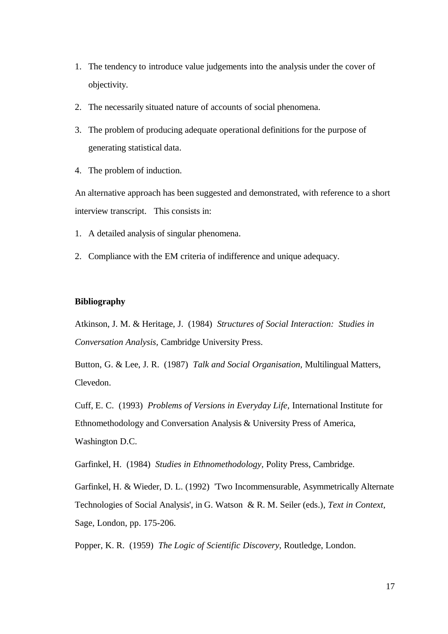- 1. The tendency to introduce value judgements into the analysis under the cover of objectivity.
- 2. The necessarily situated nature of accounts of social phenomena.
- 3. The problem of producing adequate operational definitions for the purpose of generating statistical data.
- 4. The problem of induction.

An alternative approach has been suggested and demonstrated, with reference to a short interview transcript. This consists in:

- 1. A detailed analysis of singular phenomena.
- 2. Compliance with the EM criteria of indifference and unique adequacy.

# **Bibliography**

Atkinson, J. M. & Heritage, J. (1984) *Structures of Social Interaction: Studies in Conversation Analysis,* Cambridge University Press.

Button, G. & Lee, J. R. (1987) *Talk and Social Organisation,* Multilingual Matters, Clevedon.

Cuff, E. C. (1993) *Problems of Versions in Everyday Life,* International Institute for Ethnomethodology and Conversation Analysis & University Press of America, Washington D.C.

Garfinkel, H. (1984) *Studies in Ethnomethodology,* Polity Press, Cambridge.

Garfinkel, H. & Wieder, D. L. (1992) 'Two Incommensurable, Asymmetrically Alternate Technologies of Social Analysis', in G. Watson & R. M. Seiler (eds.), *Text in Context,* Sage, London, pp. 175-206.

Popper, K. R. (1959) *The Logic of Scientific Discovery,* Routledge, London.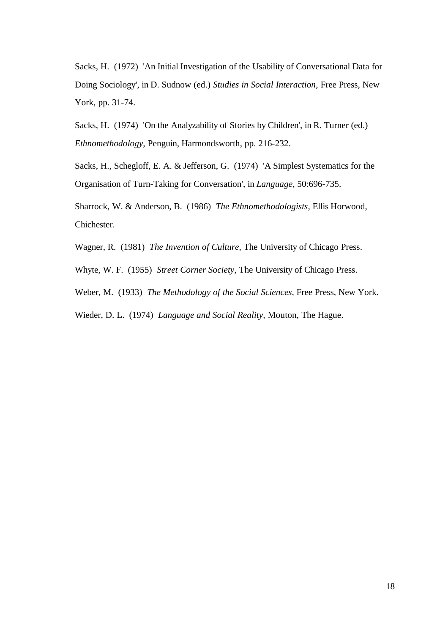Sacks, H. (1972) 'An Initial Investigation of the Usability of Conversational Data for Doing Sociology', in D. Sudnow (ed.) *Studies in Social Interaction,* Free Press, New York, pp. 31-74.

Sacks, H. (1974) 'On the Analyzability of Stories by Children', in R. Turner (ed.) *Ethnomethodology,* Penguin, Harmondsworth, pp. 216-232.

Sacks, H., Schegloff, E. A. & Jefferson, G. (1974) 'A Simplest Systematics for the Organisation of Turn-Taking for Conversation', in *Language,* 50:696-735.

Sharrock, W. & Anderson, B. (1986) *The Ethnomethodologists,* Ellis Horwood, Chichester.

Wagner, R. (1981) *The Invention of Culture,* The University of Chicago Press.

Whyte, W. F. (1955) *Street Corner Society,* The University of Chicago Press.

Weber, M. (1933) *The Methodology of the Social Sciences,* Free Press, New York.

Wieder, D. L. (1974) *Language and Social Reality,* Mouton, The Hague.